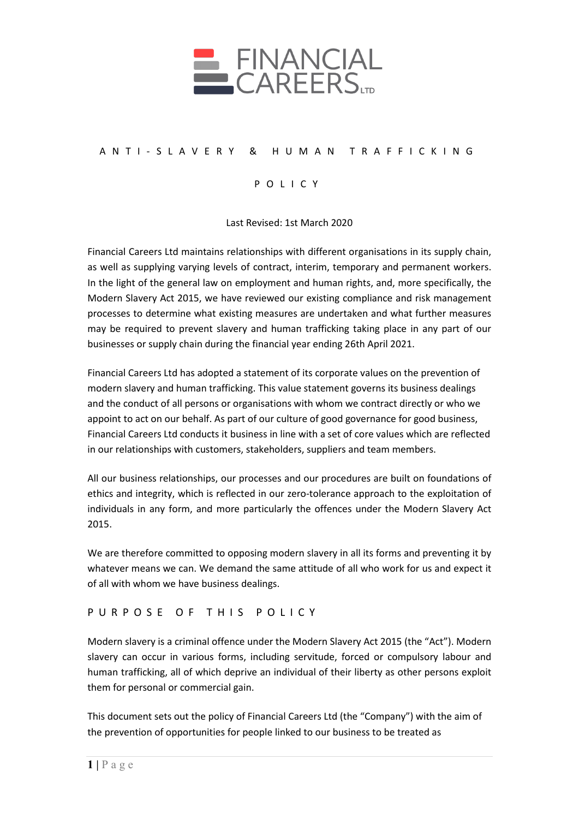

## ANTI - SLAVERY & HUMAN TRAFFICKING

## POLICY

Last Revised: 1st March 2020

Financial Careers Ltd maintains relationships with different organisations in its supply chain, as well as supplying varying levels of contract, interim, temporary and permanent workers. In the light of the general law on employment and human rights, and, more specifically, the Modern Slavery Act 2015, we have reviewed our existing compliance and risk management processes to determine what existing measures are undertaken and what further measures may be required to prevent slavery and human trafficking taking place in any part of our businesses or supply chain during the financial year ending 26th April 2021.

Financial Careers Ltd has adopted a statement of its corporate values on the prevention of modern slavery and human trafficking. This value statement governs its business dealings and the conduct of all persons or organisations with whom we contract directly or who we appoint to act on our behalf. As part of our culture of good governance for good business, Financial Careers Ltd conducts it business in line with a set of core values which are reflected in our relationships with customers, stakeholders, suppliers and team members.

All our business relationships, our processes and our procedures are built on foundations of ethics and integrity, which is reflected in our zero-tolerance approach to the exploitation of individuals in any form, and more particularly the offences under the Modern Slavery Act 2015.

We are therefore committed to opposing modern slavery in all its forms and preventing it by whatever means we can. We demand the same attitude of all who work for us and expect it of all with whom we have business dealings.

### PURPOSE OF THIS POLICY

Modern slavery is a criminal offence under the Modern Slavery Act 2015 (the "Act"). Modern slavery can occur in various forms, including servitude, forced or compulsory labour and human trafficking, all of which deprive an individual of their liberty as other persons exploit them for personal or commercial gain.

This document sets out the policy of Financial Careers Ltd (the "Company") with the aim of the prevention of opportunities for people linked to our business to be treated as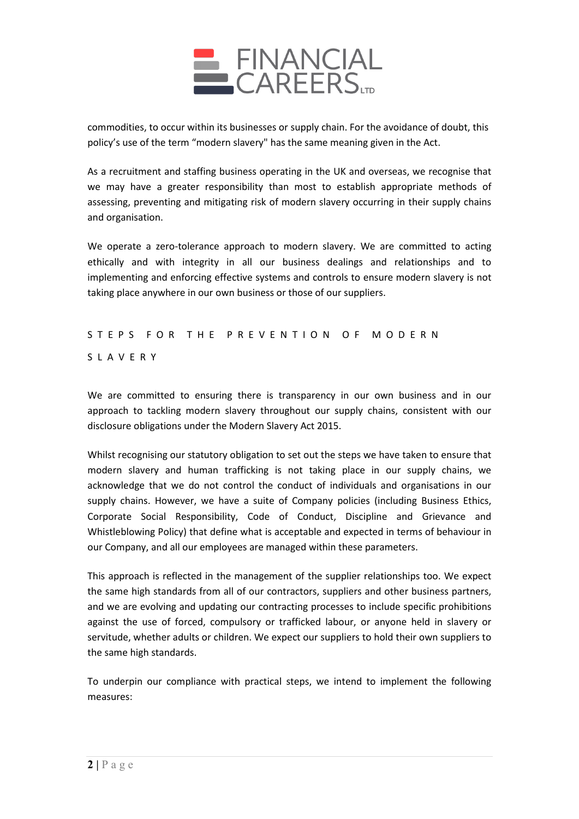

commodities, to occur within its businesses or supply chain. For the avoidance of doubt, this policy's use of the term "modern slavery" has the same meaning given in the Act.

As a recruitment and staffing business operating in the UK and overseas, we recognise that we may have a greater responsibility than most to establish appropriate methods of assessing, preventing and mitigating risk of modern slavery occurring in their supply chains and organisation.

We operate a zero-tolerance approach to modern slavery. We are committed to acting ethically and with integrity in all our business dealings and relationships and to implementing and enforcing effective systems and controls to ensure modern slavery is not taking place anywhere in our own business or those of our suppliers.

# STEPS FOR THE PREVENTION OF MODERN SLAVERY

We are committed to ensuring there is transparency in our own business and in our approach to tackling modern slavery throughout our supply chains, consistent with our disclosure obligations under the Modern Slavery Act 2015.

Whilst recognising our statutory obligation to set out the steps we have taken to ensure that modern slavery and human trafficking is not taking place in our supply chains, we acknowledge that we do not control the conduct of individuals and organisations in our supply chains. However, we have a suite of Company policies (including Business Ethics, Corporate Social Responsibility, Code of Conduct, Discipline and Grievance and Whistleblowing Policy) that define what is acceptable and expected in terms of behaviour in our Company, and all our employees are managed within these parameters.

This approach is reflected in the management of the supplier relationships too. We expect the same high standards from all of our contractors, suppliers and other business partners, and we are evolving and updating our contracting processes to include specific prohibitions against the use of forced, compulsory or trafficked labour, or anyone held in slavery or servitude, whether adults or children. We expect our suppliers to hold their own suppliers to the same high standards.

To underpin our compliance with practical steps, we intend to implement the following measures: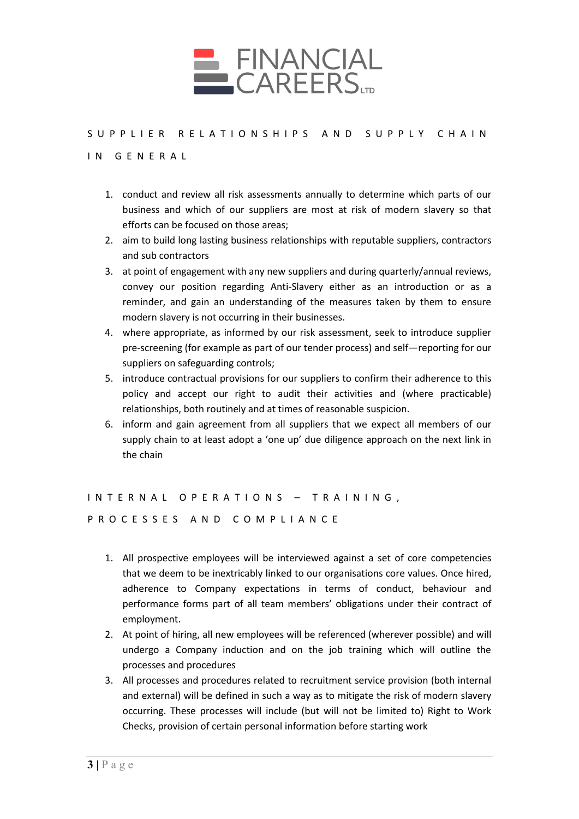

# SUPPLIER RELATIONSHIPS AND SUPPLY CHAIN

### IN GENERAL

- 1. conduct and review all risk assessments annually to determine which parts of our business and which of our suppliers are most at risk of modern slavery so that efforts can be focused on those areas;
- 2. aim to build long lasting business relationships with reputable suppliers, contractors and sub contractors
- 3. at point of engagement with any new suppliers and during quarterly/annual reviews, convey our position regarding Anti-Slavery either as an introduction or as a reminder, and gain an understanding of the measures taken by them to ensure modern slavery is not occurring in their businesses.
- 4. where appropriate, as informed by our risk assessment, seek to introduce supplier pre-screening (for example as part of our tender process) and self—reporting for our suppliers on safeguarding controls;
- 5. introduce contractual provisions for our suppliers to confirm their adherence to this policy and accept our right to audit their activities and (where practicable) relationships, both routinely and at times of reasonable suspicion.
- 6. inform and gain agreement from all suppliers that we expect all members of our supply chain to at least adopt a 'one up' due diligence approach on the next link in the chain

# INTERNAL OPERATIONS – TRAINING, PROCESSES AND COMPLIANCE

- 1. All prospective employees will be interviewed against a set of core competencies that we deem to be inextricably linked to our organisations core values. Once hired, adherence to Company expectations in terms of conduct, behaviour and performance forms part of all team members' obligations under their contract of employment.
- 2. At point of hiring, all new employees will be referenced (wherever possible) and will undergo a Company induction and on the job training which will outline the processes and procedures
- 3. All processes and procedures related to recruitment service provision (both internal and external) will be defined in such a way as to mitigate the risk of modern slavery occurring. These processes will include (but will not be limited to) Right to Work Checks, provision of certain personal information before starting work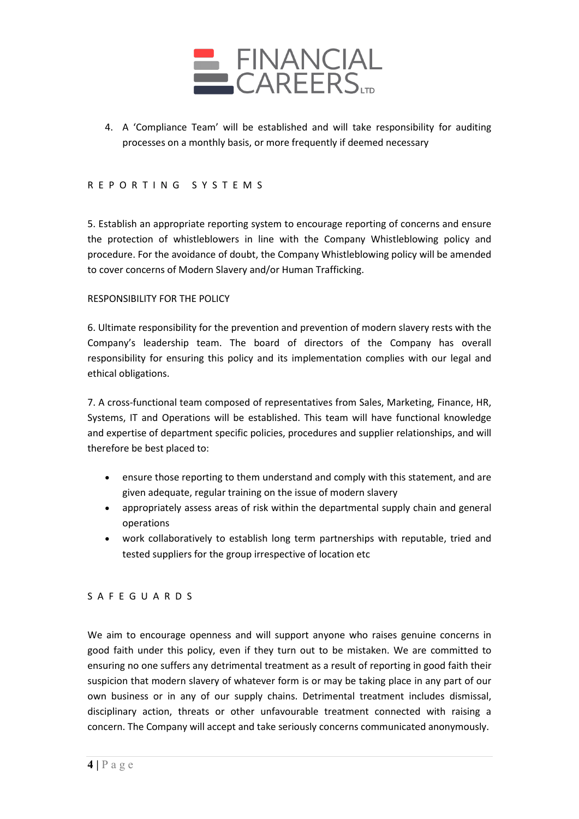

4. A 'Compliance Team' will be established and will take responsibility for auditing processes on a monthly basis, or more frequently if deemed necessary

### REPORTING SYSTEMS

5. Establish an appropriate reporting system to encourage reporting of concerns and ensure the protection of whistleblowers in line with the Company Whistleblowing policy and procedure. For the avoidance of doubt, the Company Whistleblowing policy will be amended to cover concerns of Modern Slavery and/or Human Trafficking.

#### RESPONSIBILITY FOR THE POLICY

6. Ultimate responsibility for the prevention and prevention of modern slavery rests with the Company's leadership team. The board of directors of the Company has overall responsibility for ensuring this policy and its implementation complies with our legal and ethical obligations.

7. A cross-functional team composed of representatives from Sales, Marketing, Finance, HR, Systems, IT and Operations will be established. This team will have functional knowledge and expertise of department specific policies, procedures and supplier relationships, and will therefore be best placed to:

- ensure those reporting to them understand and comply with this statement, and are given adequate, regular training on the issue of modern slavery
- appropriately assess areas of risk within the departmental supply chain and general operations
- work collaboratively to establish long term partnerships with reputable, tried and tested suppliers for the group irrespective of location etc

### SAFEGUARDS

We aim to encourage openness and will support anyone who raises genuine concerns in good faith under this policy, even if they turn out to be mistaken. We are committed to ensuring no one suffers any detrimental treatment as a result of reporting in good faith their suspicion that modern slavery of whatever form is or may be taking place in any part of our own business or in any of our supply chains. Detrimental treatment includes dismissal, disciplinary action, threats or other unfavourable treatment connected with raising a concern. The Company will accept and take seriously concerns communicated anonymously.